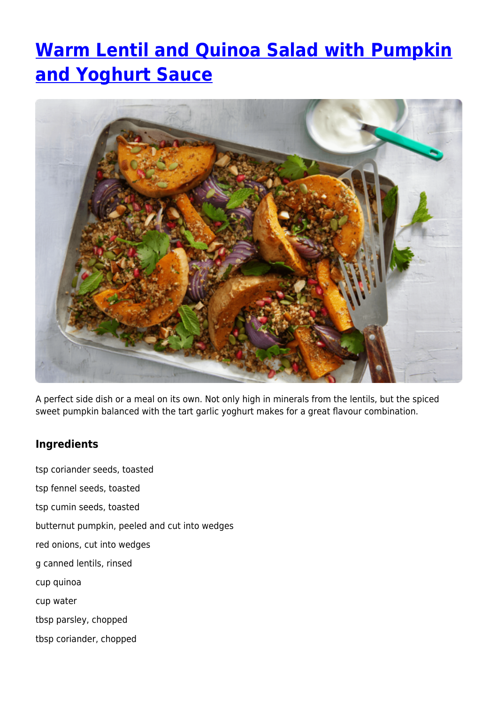## **[Warm Lentil and Quinoa Salad with Pumpkin](https://www.iga.com.au/recipes/healthy-living/warm-lentil-and-quinoa-salad-with-pumpkin-and-yoghurt-sauce/) [and Yoghurt Sauce](https://www.iga.com.au/recipes/healthy-living/warm-lentil-and-quinoa-salad-with-pumpkin-and-yoghurt-sauce/)**



A perfect side dish or a meal on its own. Not only high in minerals from the lentils, but the spiced sweet pumpkin balanced with the tart garlic yoghurt makes for a great flavour combination.

## **Ingredients**

tsp coriander seeds, toasted tsp fennel seeds, toasted tsp cumin seeds, toasted butternut pumpkin, peeled and cut into wedges red onions, cut into wedges g canned lentils, rinsed cup quinoa cup water tbsp parsley, chopped tbsp coriander, chopped